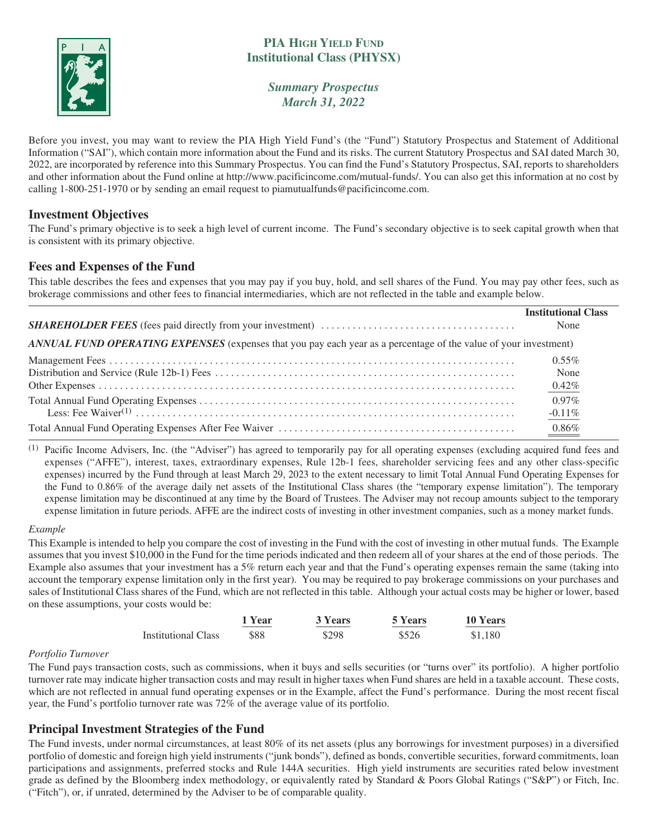

# **PIA HIGH YIELD FUND Institutional Class (PHYSX)**

*Summary Prospectus March 31, 2022*

Before you invest, you may want to review the PIA High Yield Fund's (the "Fund") Statutory Prospectus and Statement of Additional Information ("SAI"), which contain more information about the Fund and its risks. The current Statutory Prospectus and SAI dated March 30, 2022, are incorporated by reference into this Summary Prospectus. You can find the Fund's Statutory Prospectus, SAI, reports to shareholders and other information about the Fund online at http://www.pacificincome.com/mutual-funds/. You can also get this information at no cost by calling 1-800-251-1970 or by sending an email request to piamutualfunds@pacificincome.com.

## **Investment Objectives**

The Fund's primary objective is to seek a high level of current income. The Fund's secondary objective is to seek capital growth when that is consistent with its primary objective.

## **Fees and Expenses of the Fund**

This table describes the fees and expenses that you may pay if you buy, hold, and sell shares of the Fund. You may pay other fees, such as brokerage commissions and other fees to financial intermediaries, which are not reflected in the table and example below.

|                                                                                                                  | <b>Institutional Class</b> |
|------------------------------------------------------------------------------------------------------------------|----------------------------|
|                                                                                                                  | None                       |
| ANNUAL FUND OPERATING EXPENSES (expenses that you pay each year as a percentage of the value of your investment) |                            |
|                                                                                                                  | $0.55\%$                   |
|                                                                                                                  | None                       |
|                                                                                                                  | $0.42\%$                   |
|                                                                                                                  | $0.97\%$                   |
|                                                                                                                  | $-0.11%$                   |
|                                                                                                                  | $0.86\%$                   |

(1) Pacific Income Advisers, Inc. (the "Adviser") has agreed to temporarily pay for all operating expenses (excluding acquired fund fees and expenses ("AFFE"), interest, taxes, extraordinary expenses, Rule 12b-1 fees, shareholder servicing fees and any other class-specific expenses) incurred by the Fund through at least March 29, 2023 to the extent necessary to limit Total Annual Fund Operating Expenses for the Fund to 0.86% of the average daily net assets of the Institutional Class shares (the "temporary expense limitation"). The temporary expense limitation may be discontinued at any time by the Board of Trustees. The Adviser may not recoup amounts subject to the temporary expense limitation in future periods. AFFE are the indirect costs of investing in other investment companies, such as a money market funds.

#### *Example*

This Example is intended to help you compare the cost of investing in the Fund with the cost of investing in other mutual funds. The Example assumes that you invest \$10,000 in the Fund for the time periods indicated and then redeem all of your shares at the end of those periods. The Example also assumes that your investment has a 5% return each year and that the Fund's operating expenses remain the same (taking into account the temporary expense limitation only in the first year). You may be required to pay brokerage commissions on your purchases and sales of Institutional Class shares of the Fund, which are not reflected in this table. Although your actual costs may be higher or lower, based on these assumptions, your costs would be:

|                            | 1 Year | 3 Years | 5 Years | 10 Years |
|----------------------------|--------|---------|---------|----------|
| <b>Institutional Class</b> | \$88   | \$298   | \$526   | \$1.180  |

#### *Portfolio Turnover*

The Fund pays transaction costs, such as commissions, when it buys and sells securities (or "turns over" its portfolio). A higher portfolio turnover rate may indicate higher transaction costs and may result in higher taxes when Fund shares are held in a taxable account. These costs, which are not reflected in annual fund operating expenses or in the Example, affect the Fund's performance. During the most recent fiscal year, the Fund's portfolio turnover rate was 72% of the average value of its portfolio.

### **Principal Investment Strategies of the Fund**

The Fund invests, under normal circumstances, at least 80% of its net assets (plus any borrowings for investment purposes) in a diversified portfolio of domestic and foreign high yield instruments ("junk bonds"), defined as bonds, convertible securities, forward commitments, loan participations and assignments, preferred stocks and Rule 144A securities. High yield instruments are securities rated below investment grade as defined by the Bloomberg index methodology, or equivalently rated by Standard & Poors Global Ratings ("S&P") or Fitch, Inc. ("Fitch"), or, if unrated, determined by the Adviser to be of comparable quality.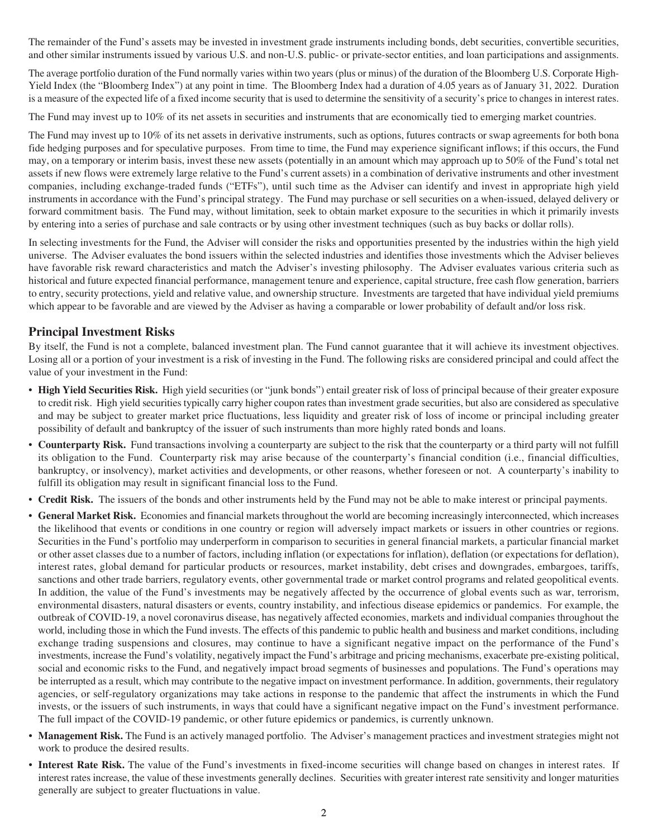The remainder of the Fund's assets may be invested in investment grade instruments including bonds, debt securities, convertible securities, and other similar instruments issued by various U.S. and non-U.S. public- or private-sector entities, and loan participations and assignments.

The average portfolio duration of the Fund normally varies within two years (plus or minus) of the duration of the Bloomberg U.S. Corporate High-Yield Index (the "Bloomberg Index") at any point in time. The Bloomberg Index had a duration of 4.05 years as of January 31, 2022. Duration is a measure of the expected life of a fixed income security that is used to determine the sensitivity of a security's price to changes in interest rates.

The Fund may invest up to 10% of its net assets in securities and instruments that are economically tied to emerging market countries.

The Fund may invest up to 10% of its net assets in derivative instruments, such as options, futures contracts or swap agreements for both bona fide hedging purposes and for speculative purposes. From time to time, the Fund may experience significant inflows; if this occurs, the Fund may, on a temporary or interim basis, invest these new assets (potentially in an amount which may approach up to 50% of the Fund's total net assets if new flows were extremely large relative to the Fund's current assets) in a combination of derivative instruments and other investment companies, including exchange-traded funds ("ETFs"), until such time as the Adviser can identify and invest in appropriate high yield instruments in accordance with the Fund's principal strategy. The Fund may purchase or sell securities on a when-issued, delayed delivery or forward commitment basis. The Fund may, without limitation, seek to obtain market exposure to the securities in which it primarily invests by entering into a series of purchase and sale contracts or by using other investment techniques (such as buy backs or dollar rolls).

In selecting investments for the Fund, the Adviser will consider the risks and opportunities presented by the industries within the high yield universe. The Adviser evaluates the bond issuers within the selected industries and identifies those investments which the Adviser believes have favorable risk reward characteristics and match the Adviser's investing philosophy. The Adviser evaluates various criteria such as historical and future expected financial performance, management tenure and experience, capital structure, free cash flow generation, barriers to entry, security protections, yield and relative value, and ownership structure. Investments are targeted that have individual yield premiums which appear to be favorable and are viewed by the Adviser as having a comparable or lower probability of default and/or loss risk.

## **Principal Investment Risks**

By itself, the Fund is not a complete, balanced investment plan. The Fund cannot guarantee that it will achieve its investment objectives. Losing all or a portion of your investment is a risk of investing in the Fund. The following risks are considered principal and could affect the value of your investment in the Fund:

- **High Yield Securities Risk.** High yield securities (or "junk bonds") entail greater risk of loss of principal because of their greater exposure to credit risk. High yield securities typically carry higher coupon rates than investment grade securities, but also are considered as speculative and may be subject to greater market price fluctuations, less liquidity and greater risk of loss of income or principal including greater possibility of default and bankruptcy of the issuer of such instruments than more highly rated bonds and loans.
- **Counterparty Risk.** Fund transactions involving a counterparty are subject to the risk that the counterparty or a third party will not fulfill its obligation to the Fund. Counterparty risk may arise because of the counterparty's financial condition (i.e., financial difficulties, bankruptcy, or insolvency), market activities and developments, or other reasons, whether foreseen or not. A counterparty's inability to fulfill its obligation may result in significant financial loss to the Fund.
- **Credit Risk.** The issuers of the bonds and other instruments held by the Fund may not be able to make interest or principal payments.
- **General Market Risk.** Economies and financial markets throughout the world are becoming increasingly interconnected, which increases the likelihood that events or conditions in one country or region will adversely impact markets or issuers in other countries or regions. Securities in the Fund's portfolio may underperform in comparison to securities in general financial markets, a particular financial market or other asset classes due to a number of factors, including inflation (or expectations for inflation), deflation (or expectations for deflation), interest rates, global demand for particular products or resources, market instability, debt crises and downgrades, embargoes, tariffs, sanctions and other trade barriers, regulatory events, other governmental trade or market control programs and related geopolitical events. In addition, the value of the Fund's investments may be negatively affected by the occurrence of global events such as war, terrorism, environmental disasters, natural disasters or events, country instability, and infectious disease epidemics or pandemics. For example, the outbreak of COVID-19, a novel coronavirus disease, has negatively affected economies, markets and individual companies throughout the world, including those in which the Fund invests. The effects of this pandemic to public health and business and market conditions, including exchange trading suspensions and closures, may continue to have a significant negative impact on the performance of the Fund's investments, increase the Fund's volatility, negatively impact the Fund's arbitrage and pricing mechanisms, exacerbate pre-existing political, social and economic risks to the Fund, and negatively impact broad segments of businesses and populations. The Fund's operations may be interrupted as a result, which may contribute to the negative impact on investment performance. In addition, governments, their regulatory agencies, or self-regulatory organizations may take actions in response to the pandemic that affect the instruments in which the Fund invests, or the issuers of such instruments, in ways that could have a significant negative impact on the Fund's investment performance. The full impact of the COVID-19 pandemic, or other future epidemics or pandemics, is currently unknown.
- **Management Risk.** The Fund is an actively managed portfolio. The Adviser's management practices and investment strategies might not work to produce the desired results.
- **Interest Rate Risk.** The value of the Fund's investments in fixed-income securities will change based on changes in interest rates. If interest rates increase, the value of these investments generally declines. Securities with greater interest rate sensitivity and longer maturities generally are subject to greater fluctuations in value.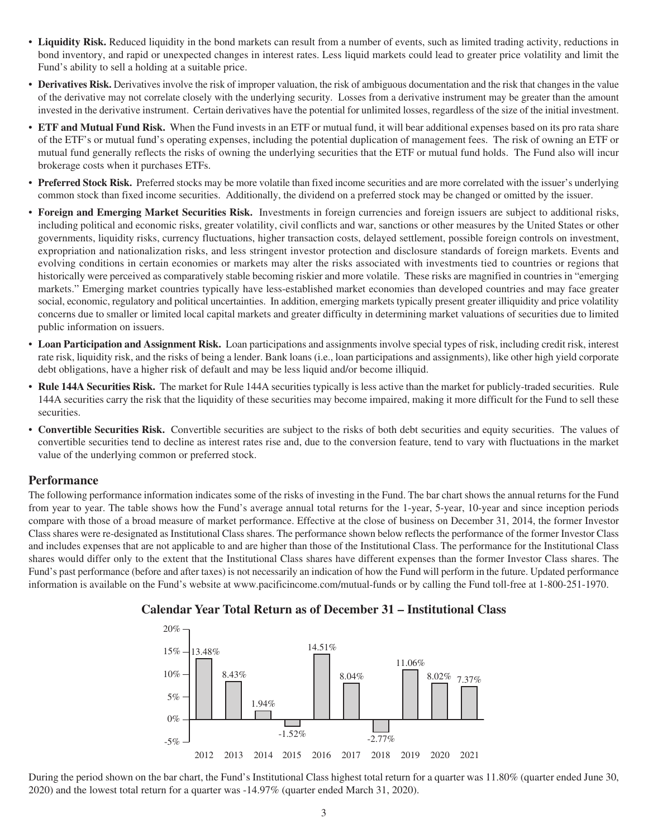- **Liquidity Risk.** Reduced liquidity in the bond markets can result from a number of events, such as limited trading activity, reductions in bond inventory, and rapid or unexpected changes in interest rates. Less liquid markets could lead to greater price volatility and limit the Fund's ability to sell a holding at a suitable price.
- **Derivatives Risk.** Derivatives involve the risk of improper valuation, the risk of ambiguous documentation and the risk that changes in the value of the derivative may not correlate closely with the underlying security. Losses from a derivative instrument may be greater than the amount invested in the derivative instrument. Certain derivatives have the potential for unlimited losses, regardless of the size of the initial investment.
- **ETF and Mutual Fund Risk.** When the Fund invests in an ETF or mutual fund, it will bear additional expenses based on its pro rata share of the ETF's or mutual fund's operating expenses, including the potential duplication of management fees. The risk of owning an ETF or mutual fund generally reflects the risks of owning the underlying securities that the ETF or mutual fund holds. The Fund also will incur brokerage costs when it purchases ETFs.
- **Preferred Stock Risk.** Preferred stocks may be more volatile than fixed income securities and are more correlated with the issuer's underlying common stock than fixed income securities. Additionally, the dividend on a preferred stock may be changed or omitted by the issuer.
- **Foreign and Emerging Market Securities Risk.** Investments in foreign currencies and foreign issuers are subject to additional risks, including political and economic risks, greater volatility, civil conflicts and war, sanctions or other measures by the United States or other governments, liquidity risks, currency fluctuations, higher transaction costs, delayed settlement, possible foreign controls on investment, expropriation and nationalization risks, and less stringent investor protection and disclosure standards of foreign markets. Events and evolving conditions in certain economies or markets may alter the risks associated with investments tied to countries or regions that historically were perceived as comparatively stable becoming riskier and more volatile. These risks are magnified in countries in "emerging markets." Emerging market countries typically have less-established market economies than developed countries and may face greater social, economic, regulatory and political uncertainties. In addition, emerging markets typically present greater illiquidity and price volatility concerns due to smaller or limited local capital markets and greater difficulty in determining market valuations of securities due to limited public information on issuers.
- **Loan Participation and Assignment Risk.** Loan participations and assignments involve special types of risk, including credit risk, interest rate risk, liquidity risk, and the risks of being a lender. Bank loans (i.e., loan participations and assignments), like other high yield corporate debt obligations, have a higher risk of default and may be less liquid and/or become illiquid.
- **Rule 144A Securities Risk.** The market for Rule 144A securities typically is less active than the market for publicly-traded securities. Rule 144A securities carry the risk that the liquidity of these securities may become impaired, making it more difficult for the Fund to sell these securities.
- **Convertible Securities Risk.** Convertible securities are subject to the risks of both debt securities and equity securities. The values of convertible securities tend to decline as interest rates rise and, due to the conversion feature, tend to vary with fluctuations in the market value of the underlying common or preferred stock.

#### **Performance**

The following performance information indicates some of the risks of investing in the Fund. The bar chart shows the annual returns for the Fund from year to year. The table shows how the Fund's average annual total returns for the 1-year, 5-year, 10-year and since inception periods compare with those of a broad measure of market performance. Effective at the close of business on December 31, 2014, the former Investor Class shares were re-designated as Institutional Class shares. The performance shown below reflects the performance of the former Investor Class and includes expenses that are not applicable to and are higher than those of the Institutional Class. The performance for the Institutional Class shares would differ only to the extent that the Institutional Class shares have different expenses than the former Investor Class shares. The Fund's past performance (before and after taxes) is not necessarily an indication of how the Fund will perform in the future. Updated performance information is available on the Fund's website at www.pacificincome.com/mutual-funds or by calling the Fund toll-free at 1-800-251-1970.



## **Calendar Year Total Return as of December 31 – Institutional Class**

During the period shown on the bar chart, the Fund's Institutional Class highest total return for a quarter was 11.80% (quarter ended June 30, 2020) and the lowest total return for a quarter was -14.97% (quarter ended March 31, 2020).